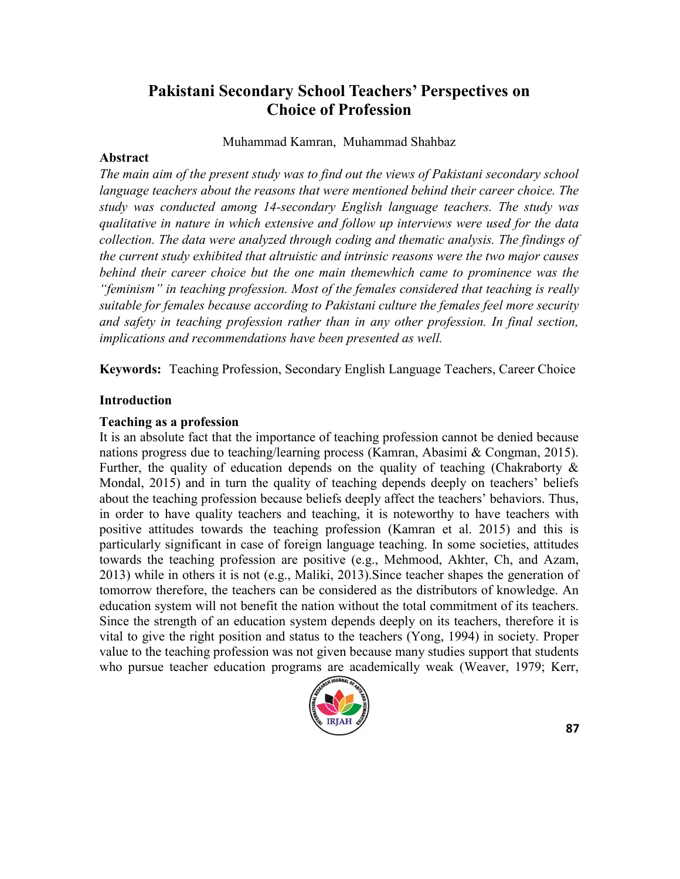# **Pakistani Secondary School Teachers' Perspectives on Choice of Profession**

Muhammad Kamran, Muhammad Shahbaz

### **Abstract**

*The main aim of the present study was to find out the views of Pakistani secondary school language teachers about the reasons that were mentioned behind their career choice. The study was conducted among 14-secondary English language teachers. The study was qualitative in nature in which extensive and follow up interviews were used for the data collection. The data were analyzed through coding and thematic analysis. The findings of the current study exhibited that altruistic and intrinsic reasons were the two major causes behind their career choice but the one main themewhich came to prominence was the ―feminism‖ in teaching profession. Most of the females considered that teaching is really suitable for females because according to Pakistani culture the females feel more security and safety in teaching profession rather than in any other profession. In final section, implications and recommendations have been presented as well.*

**Keywords:** Teaching Profession, Secondary English Language Teachers, Career Choice

### **Introduction**

### **Teaching as a profession**

It is an absolute fact that the importance of teaching profession cannot be denied because nations progress due to teaching/learning process (Kamran, Abasimi & Congman, 2015). Further, the quality of education depends on the quality of teaching (Chakraborty  $\&$ Mondal, 2015) and in turn the quality of teaching depends deeply on teachers' beliefs about the teaching profession because beliefs deeply affect the teachers' behaviors. Thus, in order to have quality teachers and teaching, it is noteworthy to have teachers with positive attitudes towards the teaching profession (Kamran et al. 2015) and this is particularly significant in case of foreign language teaching. In some societies, attitudes towards the teaching profession are positive (e.g., Mehmood, Akhter, Ch, and Azam, 2013) while in others it is not (e.g., Maliki, 2013).Since teacher shapes the generation of tomorrow therefore, the teachers can be considered as the distributors of knowledge. An education system will not benefit the nation without the total commitment of its teachers. Since the strength of an education system depends deeply on its teachers, therefore it is vital to give the right position and status to the teachers (Yong, 1994) in society. Proper value to the teaching profession was not given because many studies support that students who pursue teacher education programs are academically weak (Weaver, 1979; Kerr,

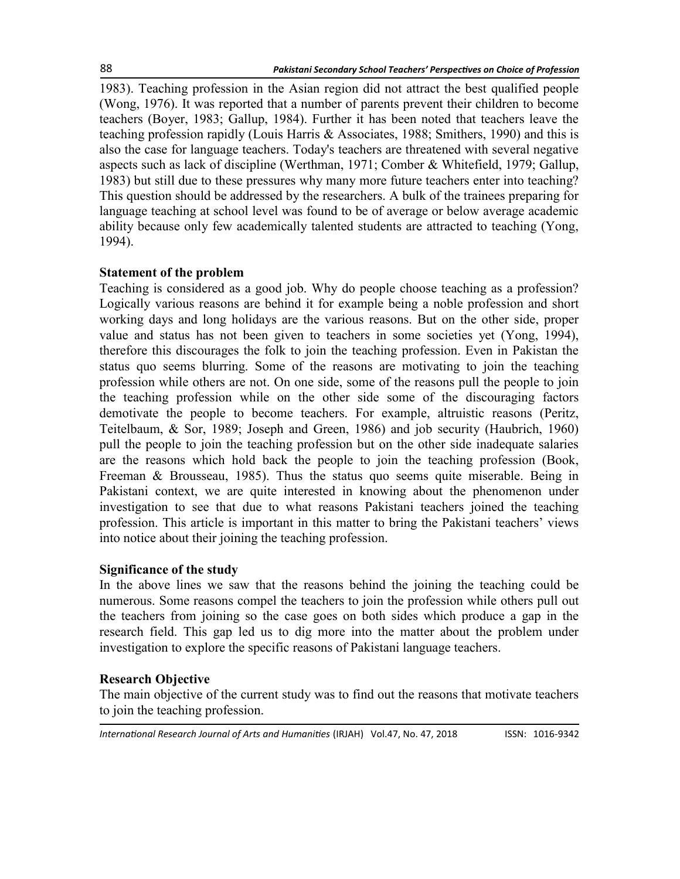1983). Teaching profession in the Asian region did not attract the best qualified people (Wong, 1976). It was reported that a number of parents prevent their children to become teachers (Boyer, 1983; Gallup, 1984). Further it has been noted that teachers leave the teaching profession rapidly (Louis Harris & Associates, 1988; Smithers, 1990) and this is also the case for language teachers. Today's teachers are threatened with several negative aspects such as lack of discipline (Werthman, 1971; Comber & Whitefield, 1979; Gallup, 1983) but still due to these pressures why many more future teachers enter into teaching? This question should be addressed by the researchers. A bulk of the trainees preparing for language teaching at school level was found to be of average or below average academic ability because only few academically talented students are attracted to teaching (Yong, 1994).

### **Statement of the problem**

Teaching is considered as a good job. Why do people choose teaching as a profession? Logically various reasons are behind it for example being a noble profession and short working days and long holidays are the various reasons. But on the other side, proper value and status has not been given to teachers in some societies yet (Yong, 1994), therefore this discourages the folk to join the teaching profession. Even in Pakistan the status quo seems blurring. Some of the reasons are motivating to join the teaching profession while others are not. On one side, some of the reasons pull the people to join the teaching profession while on the other side some of the discouraging factors demotivate the people to become teachers. For example, altruistic reasons (Peritz, Teitelbaum, & Sor, 1989; Joseph and Green, 1986) and job security (Haubrich, 1960) pull the people to join the teaching profession but on the other side inadequate salaries are the reasons which hold back the people to join the teaching profession (Book, Freeman & Brousseau, 1985). Thus the status quo seems quite miserable. Being in Pakistani context, we are quite interested in knowing about the phenomenon under investigation to see that due to what reasons Pakistani teachers joined the teaching profession. This article is important in this matter to bring the Pakistani teachers' views into notice about their joining the teaching profession.

### **Significance of the study**

In the above lines we saw that the reasons behind the joining the teaching could be numerous. Some reasons compel the teachers to join the profession while others pull out the teachers from joining so the case goes on both sides which produce a gap in the research field. This gap led us to dig more into the matter about the problem under investigation to explore the specific reasons of Pakistani language teachers.

# **Research Objective**

The main objective of the current study was to find out the reasons that motivate teachers to join the teaching profession.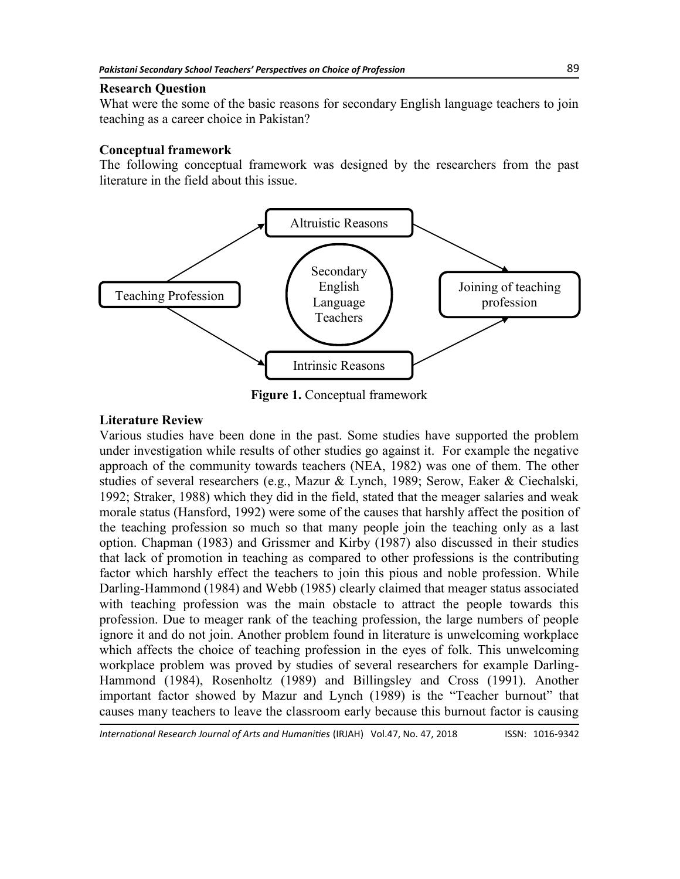#### **Research Question**

What were the some of the basic reasons for secondary English language teachers to join teaching as a career choice in Pakistan?

### **Conceptual framework**

The following conceptual framework was designed by the researchers from the past literature in the field about this issue.



**Figure 1.** Conceptual framework

### **Literature Review**

Various studies have been done in the past. Some studies have supported the problem under investigation while results of other studies go against it. For example the negative approach of the community towards teachers (NEA, 1982) was one of them. The other studies of several researchers (e.g., Mazur & Lynch, 1989; Serow, Eaker & Ciechalski*,*  1992; Straker, 1988) which they did in the field, stated that the meager salaries and weak morale status (Hansford, 1992) were some of the causes that harshly affect the position of the teaching profession so much so that many people join the teaching only as a last option. Chapman (1983) and Grissmer and Kirby (1987) also discussed in their studies that lack of promotion in teaching as compared to other professions is the contributing factor which harshly effect the teachers to join this pious and noble profession. While Darling-Hammond (1984) and Webb (1985) clearly claimed that meager status associated with teaching profession was the main obstacle to attract the people towards this profession. Due to meager rank of the teaching profession, the large numbers of people ignore it and do not join. Another problem found in literature is unwelcoming workplace which affects the choice of teaching profession in the eyes of folk. This unwelcoming workplace problem was proved by studies of several researchers for example Darling-Hammond (1984), Rosenholtz (1989) and Billingsley and Cross (1991). Another important factor showed by Mazur and Lynch (1989) is the "Teacher burnout" that causes many teachers to leave the classroom early because this burnout factor is causing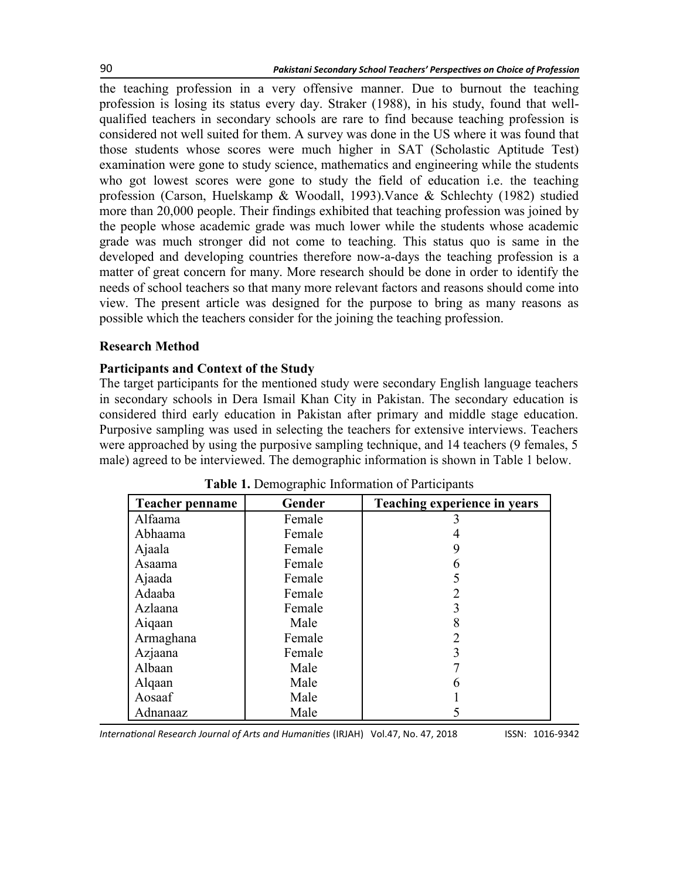the teaching profession in a very offensive manner. Due to burnout the teaching profession is losing its status every day. Straker (1988), in his study, found that wellqualified teachers in secondary schools are rare to find because teaching profession is considered not well suited for them. A survey was done in the US where it was found that those students whose scores were much higher in SAT (Scholastic Aptitude Test) examination were gone to study science, mathematics and engineering while the students who got lowest scores were gone to study the field of education i.e. the teaching profession (Carson, Huelskamp & Woodall, 1993).Vance & Schlechty (1982) studied more than 20,000 people. Their findings exhibited that teaching profession was joined by the people whose academic grade was much lower while the students whose academic grade was much stronger did not come to teaching. This status quo is same in the developed and developing countries therefore now-a-days the teaching profession is a matter of great concern for many. More research should be done in order to identify the needs of school teachers so that many more relevant factors and reasons should come into view. The present article was designed for the purpose to bring as many reasons as possible which the teachers consider for the joining the teaching profession.

#### **Research Method**

### **Participants and Context of the Study**

The target participants for the mentioned study were secondary English language teachers in secondary schools in Dera Ismail Khan City in Pakistan. The secondary education is considered third early education in Pakistan after primary and middle stage education. Purposive sampling was used in selecting the teachers for extensive interviews. Teachers were approached by using the purposive sampling technique, and 14 teachers (9 females, 5 male) agreed to be interviewed. The demographic information is shown in Table 1 below.

| Teacher penname | Gender | Teaching experience in years |  |
|-----------------|--------|------------------------------|--|
| Alfaama         | Female |                              |  |
| Abhaama         | Female |                              |  |
| Ajaala          | Female |                              |  |
| Asaama          | Female | 6                            |  |
| Ajaada          | Female |                              |  |
| Adaaba          | Female |                              |  |
| Azlaana         | Female |                              |  |
| Aigaan          | Male   |                              |  |
| Armaghana       | Female |                              |  |
| Azjaana         | Female |                              |  |
| Albaan          | Male   |                              |  |
| Alqaan          | Male   |                              |  |
| Aosaaf          | Male   |                              |  |
| Adnanaaz        | Male   |                              |  |

|  |  |  | Table 1. Demographic Information of Participants |
|--|--|--|--------------------------------------------------|
|--|--|--|--------------------------------------------------|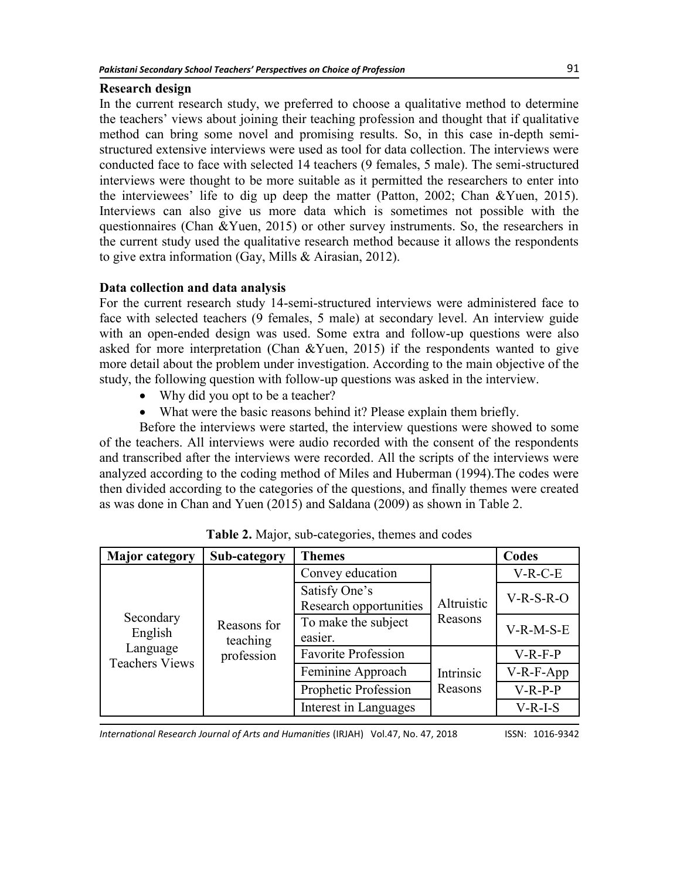#### **Research design**

In the current research study, we preferred to choose a qualitative method to determine the teachers' views about joining their teaching profession and thought that if qualitative method can bring some novel and promising results. So, in this case in-depth semistructured extensive interviews were used as tool for data collection. The interviews were conducted face to face with selected 14 teachers (9 females, 5 male). The semi-structured interviews were thought to be more suitable as it permitted the researchers to enter into the interviewees' life to dig up deep the matter (Patton, 2002; Chan &Yuen, 2015). Interviews can also give us more data which is sometimes not possible with the questionnaires (Chan &Yuen, 2015) or other survey instruments. So, the researchers in the current study used the qualitative research method because it allows the respondents to give extra information (Gay, Mills & Airasian, 2012).

#### **Data collection and data analysis**

For the current research study 14-semi-structured interviews were administered face to face with selected teachers (9 females, 5 male) at secondary level. An interview guide with an open-ended design was used. Some extra and follow-up questions were also asked for more interpretation (Chan &Yuen, 2015) if the respondents wanted to give more detail about the problem under investigation. According to the main objective of the study, the following question with follow-up questions was asked in the interview.

- Why did you opt to be a teacher?
- What were the basic reasons behind it? Please explain them briefly.

Before the interviews were started, the interview questions were showed to some of the teachers. All interviews were audio recorded with the consent of the respondents and transcribed after the interviews were recorded. All the scripts of the interviews were analyzed according to the coding method of Miles and Huberman (1994).The codes were then divided according to the categories of the questions, and finally themes were created as was done in Chan and Yuen (2015) and Saldana (2009) as shown in Table 2.

| <b>Major category</b>                                     | Sub-category                          | <b>Themes</b>                           |                       | Codes       |
|-----------------------------------------------------------|---------------------------------------|-----------------------------------------|-----------------------|-------------|
| Secondary<br>English<br>Language<br><b>Teachers Views</b> | Reasons for<br>teaching<br>profession | Convey education                        | Altruistic<br>Reasons | $V-R-C-E$   |
|                                                           |                                       | Satisfy One's<br>Research opportunities |                       | $V-R-S-R-O$ |
|                                                           |                                       | To make the subject                     |                       | $V-R-M-S-E$ |
|                                                           |                                       | easier.                                 |                       |             |
|                                                           |                                       | <b>Favorite Profession</b>              | Intrinsic<br>Reasons  | $V-R-F-P$   |
|                                                           |                                       | Feminine Approach                       |                       | V-R-F-App   |
|                                                           |                                       | Prophetic Profession                    |                       | $V-R-P-P$   |
|                                                           |                                       | Interest in Languages                   |                       | $V-R-I-S$   |

**Table 2.** Major, sub-categories, themes and codes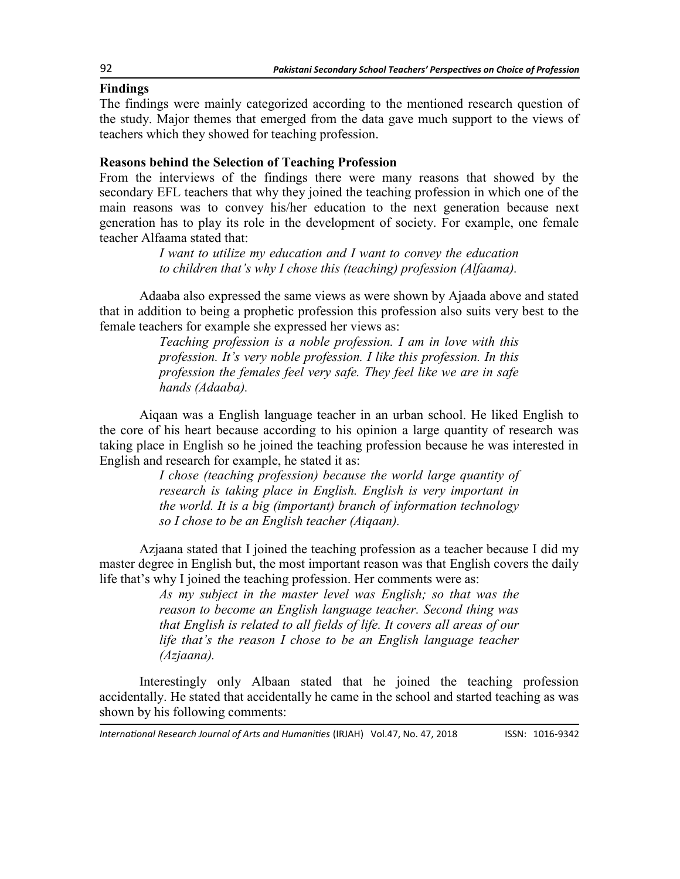### **Findings**

The findings were mainly categorized according to the mentioned research question of the study. Major themes that emerged from the data gave much support to the views of teachers which they showed for teaching profession.

## **Reasons behind the Selection of Teaching Profession**

From the interviews of the findings there were many reasons that showed by the secondary EFL teachers that why they joined the teaching profession in which one of the main reasons was to convey his/her education to the next generation because next generation has to play its role in the development of society. For example, one female teacher Alfaama stated that:

> *I want to utilize my education and I want to convey the education to children that's why I chose this (teaching) profession (Alfaama).*

Adaaba also expressed the same views as were shown by Ajaada above and stated that in addition to being a prophetic profession this profession also suits very best to the female teachers for example she expressed her views as:

*Teaching profession is a noble profession. I am in love with this profession. It's very noble profession. I like this profession. In this profession the females feel very safe. They feel like we are in safe hands (Adaaba).*

Aiqaan was a English language teacher in an urban school. He liked English to the core of his heart because according to his opinion a large quantity of research was taking place in English so he joined the teaching profession because he was interested in English and research for example, he stated it as:

> *I chose (teaching profession) because the world large quantity of research is taking place in English. English is very important in the world. It is a big (important) branch of information technology so I chose to be an English teacher (Aiqaan).*

Azjaana stated that I joined the teaching profession as a teacher because I did my master degree in English but, the most important reason was that English covers the daily life that's why I joined the teaching profession. Her comments were as:

> *As my subject in the master level was English; so that was the reason to become an English language teacher. Second thing was that English is related to all fields of life. It covers all areas of our life that's the reason I chose to be an English language teacher (Azjaana).*

Interestingly only Albaan stated that he joined the teaching profession accidentally. He stated that accidentally he came in the school and started teaching as was shown by his following comments: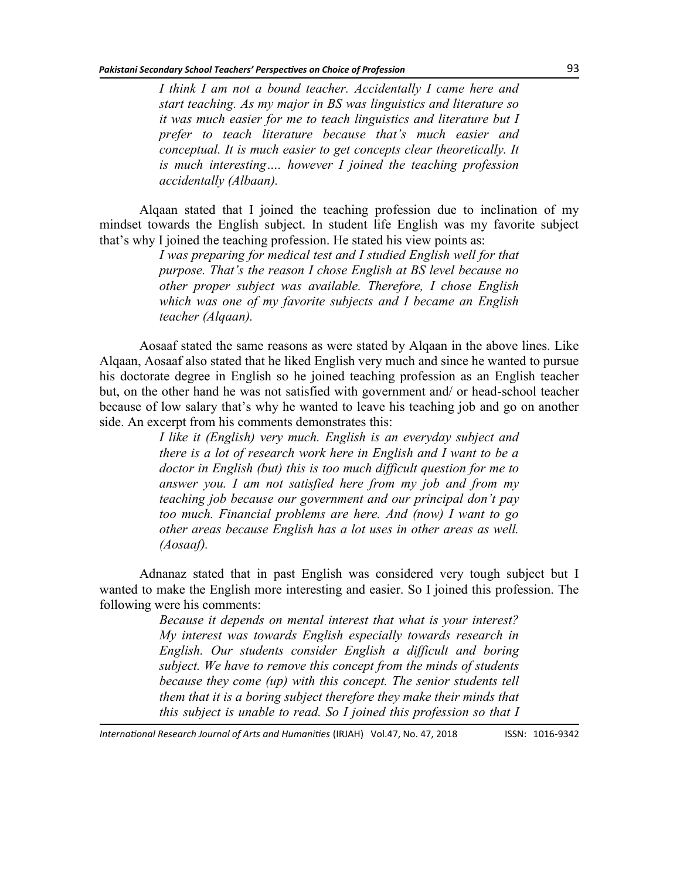*I think I am not a bound teacher. Accidentally I came here and start teaching. As my major in BS was linguistics and literature so it was much easier for me to teach linguistics and literature but I prefer to teach literature because that's much easier and conceptual. It is much easier to get concepts clear theoretically. It is much interesting…. however I joined the teaching profession accidentally (Albaan).*

Alqaan stated that I joined the teaching profession due to inclination of my mindset towards the English subject. In student life English was my favorite subject that's why I joined the teaching profession. He stated his view points as:

> *I was preparing for medical test and I studied English well for that purpose. That's the reason I chose English at BS level because no other proper subject was available. Therefore, I chose English which was one of my favorite subjects and I became an English teacher (Alqaan).*

Aosaaf stated the same reasons as were stated by Alqaan in the above lines. Like Alqaan, Aosaaf also stated that he liked English very much and since he wanted to pursue his doctorate degree in English so he joined teaching profession as an English teacher but, on the other hand he was not satisfied with government and/ or head-school teacher because of low salary that's why he wanted to leave his teaching job and go on another side. An excerpt from his comments demonstrates this:

> *I like it (English) very much. English is an everyday subject and there is a lot of research work here in English and I want to be a doctor in English (but) this is too much difficult question for me to answer you. I am not satisfied here from my job and from my teaching job because our government and our principal don't pay too much. Financial problems are here. And (now) I want to go other areas because English has a lot uses in other areas as well. (Aosaaf).*

Adnanaz stated that in past English was considered very tough subject but I wanted to make the English more interesting and easier. So I joined this profession. The following were his comments:

> *Because it depends on mental interest that what is your interest? My interest was towards English especially towards research in English. Our students consider English a difficult and boring subject. We have to remove this concept from the minds of students because they come (up) with this concept. The senior students tell them that it is a boring subject therefore they make their minds that this subject is unable to read. So I joined this profession so that I*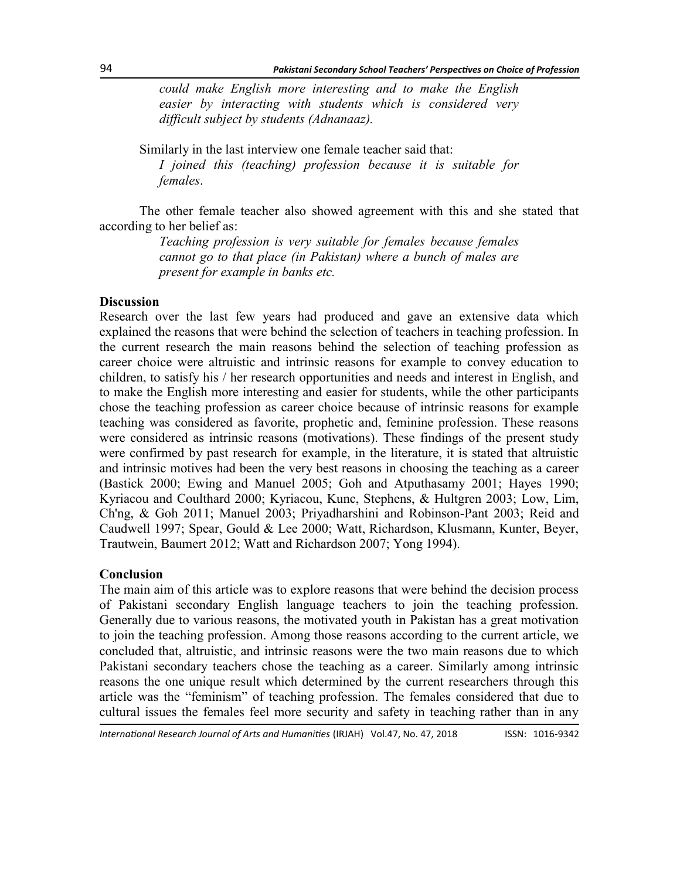*could make English more interesting and to make the English easier by interacting with students which is considered very difficult subject by students (Adnanaaz).*

Similarly in the last interview one female teacher said that: *I joined this (teaching) profession because it is suitable for females*.

The other female teacher also showed agreement with this and she stated that according to her belief as:

> *Teaching profession is very suitable for females because females cannot go to that place (in Pakistan) where a bunch of males are present for example in banks etc.*

#### **Discussion**

Research over the last few years had produced and gave an extensive data which explained the reasons that were behind the selection of teachers in teaching profession. In the current research the main reasons behind the selection of teaching profession as career choice were altruistic and intrinsic reasons for example to convey education to children, to satisfy his / her research opportunities and needs and interest in English, and to make the English more interesting and easier for students, while the other participants chose the teaching profession as career choice because of intrinsic reasons for example teaching was considered as favorite, prophetic and, feminine profession. These reasons were considered as intrinsic reasons (motivations). These findings of the present study were confirmed by past research for example, in the literature, it is stated that altruistic and intrinsic motives had been the very best reasons in choosing the teaching as a career (Bastick 2000; Ewing and Manuel 2005; Goh and Atputhasamy 2001; Hayes 1990; Kyriacou and Coulthard 2000; Kyriacou, Kunc, Stephens, & Hultgren 2003; Low, Lim, Ch'ng, & Goh 2011; Manuel 2003; Priyadharshini and Robinson-Pant 2003; Reid and Caudwell 1997; Spear, Gould & Lee 2000; Watt, Richardson, Klusmann, Kunter, Beyer, Trautwein, Baumert 2012; Watt and Richardson 2007; Yong 1994).

#### **Conclusion**

The main aim of this article was to explore reasons that were behind the decision process of Pakistani secondary English language teachers to join the teaching profession. Generally due to various reasons, the motivated youth in Pakistan has a great motivation to join the teaching profession. Among those reasons according to the current article, we concluded that, altruistic, and intrinsic reasons were the two main reasons due to which Pakistani secondary teachers chose the teaching as a career. Similarly among intrinsic reasons the one unique result which determined by the current researchers through this article was the "feminism" of teaching profession. The females considered that due to cultural issues the females feel more security and safety in teaching rather than in any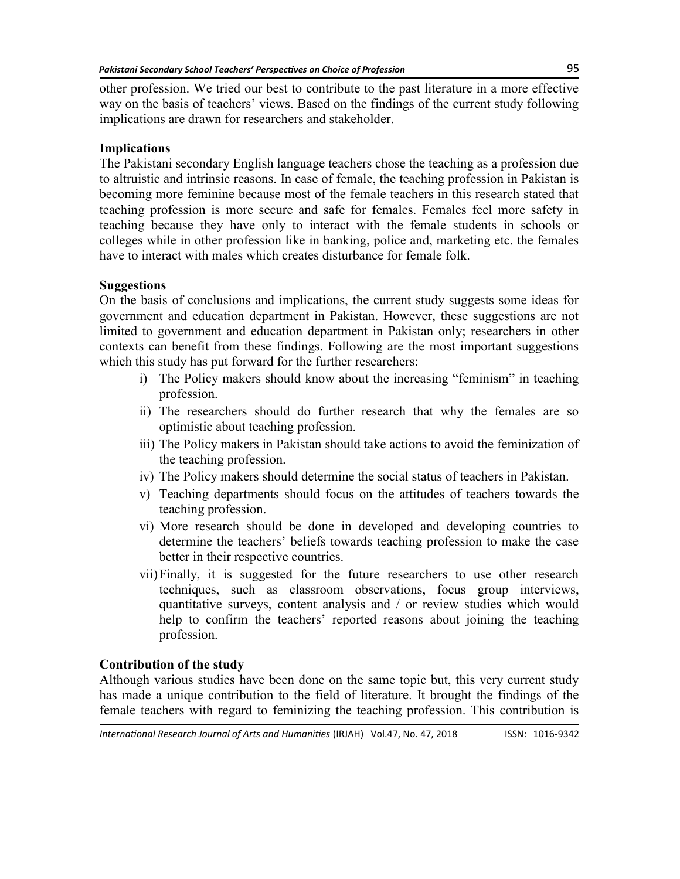other profession. We tried our best to contribute to the past literature in a more effective way on the basis of teachers' views. Based on the findings of the current study following implications are drawn for researchers and stakeholder.

# **Implications**

The Pakistani secondary English language teachers chose the teaching as a profession due to altruistic and intrinsic reasons. In case of female, the teaching profession in Pakistan is becoming more feminine because most of the female teachers in this research stated that teaching profession is more secure and safe for females. Females feel more safety in teaching because they have only to interact with the female students in schools or colleges while in other profession like in banking, police and, marketing etc. the females have to interact with males which creates disturbance for female folk.

### **Suggestions**

On the basis of conclusions and implications, the current study suggests some ideas for government and education department in Pakistan. However, these suggestions are not limited to government and education department in Pakistan only; researchers in other contexts can benefit from these findings. Following are the most important suggestions which this study has put forward for the further researchers:

- i) The Policy makers should know about the increasing "feminism" in teaching profession.
- ii) The researchers should do further research that why the females are so optimistic about teaching profession.
- iii) The Policy makers in Pakistan should take actions to avoid the feminization of the teaching profession.
- iv) The Policy makers should determine the social status of teachers in Pakistan.
- v) Teaching departments should focus on the attitudes of teachers towards the teaching profession.
- vi) More research should be done in developed and developing countries to determine the teachers' beliefs towards teaching profession to make the case better in their respective countries.
- vii)Finally, it is suggested for the future researchers to use other research techniques, such as classroom observations, focus group interviews, quantitative surveys, content analysis and / or review studies which would help to confirm the teachers' reported reasons about joining the teaching profession.

# **Contribution of the study**

Although various studies have been done on the same topic but, this very current study has made a unique contribution to the field of literature. It brought the findings of the female teachers with regard to feminizing the teaching profession. This contribution is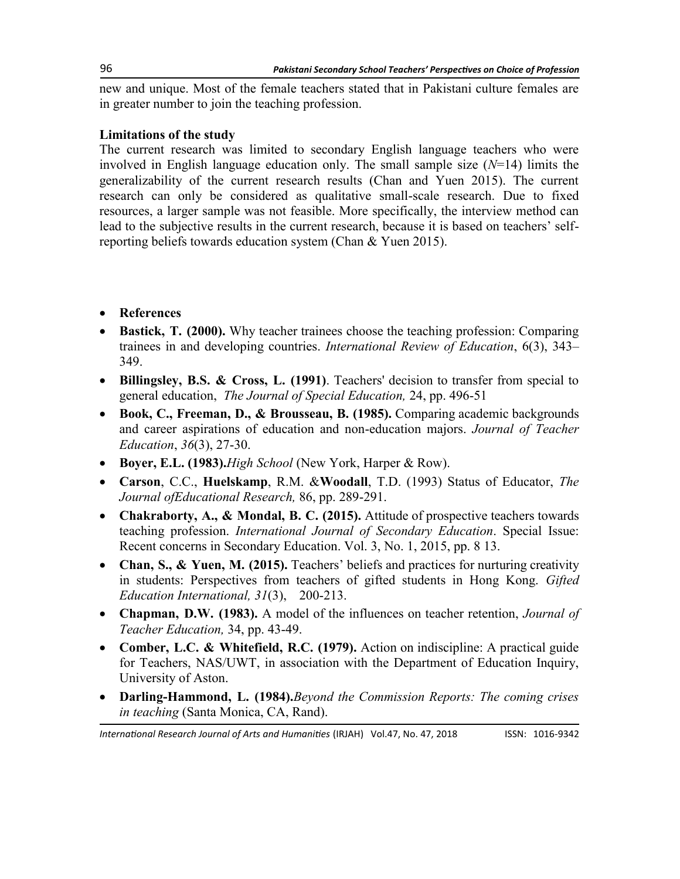new and unique. Most of the female teachers stated that in Pakistani culture females are in greater number to join the teaching profession.

### **Limitations of the study**

The current research was limited to secondary English language teachers who were involved in English language education only. The small sample size (*N*=14) limits the generalizability of the current research results (Chan and Yuen 2015). The current research can only be considered as qualitative small-scale research. Due to fixed resources, a larger sample was not feasible. More specifically, the interview method can lead to the subjective results in the current research, because it is based on teachers' selfreporting beliefs towards education system (Chan & Yuen 2015).

- **References**
- **Bastick, T. (2000).** Why teacher trainees choose the teaching profession: Comparing trainees in and developing countries. *International Review of Education*, 6(3), 343– 349.
- **Billingsley, B.S. & Cross, L. (1991)**. Teachers' decision to transfer from special to general education, *The Journal of Special Education,* 24, pp. 496-51
- **Book, C., Freeman, D., & Brousseau, B. (1985).** Comparing academic backgrounds and career aspirations of education and non-education majors. *Journal of Teacher Education*, *36*(3), 27-30.
- **Boyer, E.L. (1983).***High School* (New York, Harper & Row).
- **Carson**, C.C., **Huelskamp**, R.M. &**Woodall**, T.D. (1993) Status of Educator, *The Journal ofEducational Research,* 86, pp. 289-291.
- **Chakraborty, A., & Mondal, B. C. (2015).** Attitude of prospective teachers towards teaching profession. *International Journal of Secondary Education*. Special Issue: Recent concerns in Secondary Education. Vol. 3, No. 1, 2015, pp. 8 13.
- Chan, S., & Yuen, M. (2015). Teachers' beliefs and practices for nurturing creativity in students: Perspectives from teachers of gifted students in Hong Kong. *Gifted Education International, 31*(3), 200-213.
- **Chapman, D.W. (1983).** A model of the influences on teacher retention, *Journal of Teacher Education,* 34, pp. 43-49.
- **Comber, L.C. & Whitefield, R.C. (1979).** Action on indiscipline: A practical guide for Teachers, NAS/UWT, in association with the Department of Education Inquiry, University of Aston.
- **Darling-Hammond, L. (1984).***Beyond the Commission Reports: The coming crises in teaching* (Santa Monica, CA, Rand).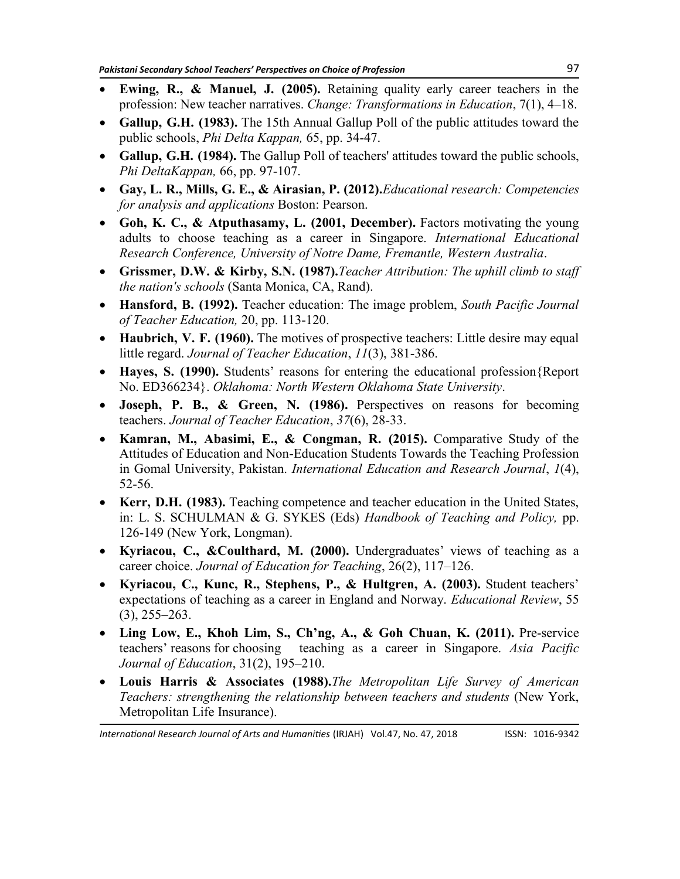- **Ewing, R., & Manuel, J. (2005).** Retaining quality early career teachers in the profession: New teacher narratives. *Change: Transformations in Education*, 7(1), 4–18.
- **Gallup, G.H. (1983).** The 15th Annual Gallup Poll of the public attitudes toward the public schools, *Phi Delta Kappan,* 65, pp. 34-47.
- **Gallup, G.H. (1984).** The Gallup Poll of teachers' attitudes toward the public schools, *Phi DeltaKappan,* 66, pp. 97-107.
- **Gay, L. R., Mills, G. E., & Airasian, P. (2012).***Educational research: Competencies for analysis and applications* Boston: Pearson.
- **Goh, K. C., & Atputhasamy, L. (2001, December).** Factors motivating the young adults to choose teaching as a career in Singapore. *International Educational Research Conference, University of Notre Dame, Fremantle, Western Australia*.
- **Grissmer, D.W. & Kirby, S.N. (1987).***Teacher Attribution: The uphill climb to staff the nation's schools* (Santa Monica, CA, Rand).
- **Hansford, B. (1992).** Teacher education: The image problem, *South Pacific Journal of Teacher Education,* 20, pp. 113-120.
- **Haubrich, V. F. (1960).** The motives of prospective teachers: Little desire may equal little regard. *Journal of Teacher Education*, *11*(3), 381-386.
- **Hayes, S. (1990).** Students' reasons for entering the educational profession{Report No. ED366234}. *Oklahoma: North Western Oklahoma State University*.
- **Joseph, P. B., & Green, N. (1986).** Perspectives on reasons for becoming teachers. *Journal of Teacher Education*, *37*(6), 28-33.
- **Kamran, M., Abasimi, E., & Congman, R. (2015).** Comparative Study of the Attitudes of Education and Non-Education Students Towards the Teaching Profession in Gomal University, Pakistan. *International Education and Research Journal*, *1*(4), 52-56.
- **Kerr, D.H. (1983).** Teaching competence and teacher education in the United States, in: L. S. SCHULMAN & G. SYKES (Eds) *Handbook of Teaching and Policy,* pp. 126-149 (New York, Longman).
- **Kyriacou, C., &Coulthard, M. (2000).** Undergraduates' views of teaching as a career choice. *Journal of Education for Teaching*, 26(2), 117–126.
- **Kyriacou, C., Kunc, R., Stephens, P., & Hultgren, A. (2003).** Student teachers' expectations of teaching as a career in England and Norway. *Educational Review*, 55  $(3)$ , 255–263.
- **Ling Low, E., Khoh Lim, S., Ch'ng, A., & Goh Chuan, K. (2011).** Pre-service teachers' reasons for choosing teaching as a career in Singapore. *Asia Pacific Journal of Education*, 31(2), 195–210.
- **Louis Harris & Associates (1988).***The Metropolitan Life Survey of American Teachers: strengthening the relationship between teachers and students* (New York, Metropolitan Life Insurance).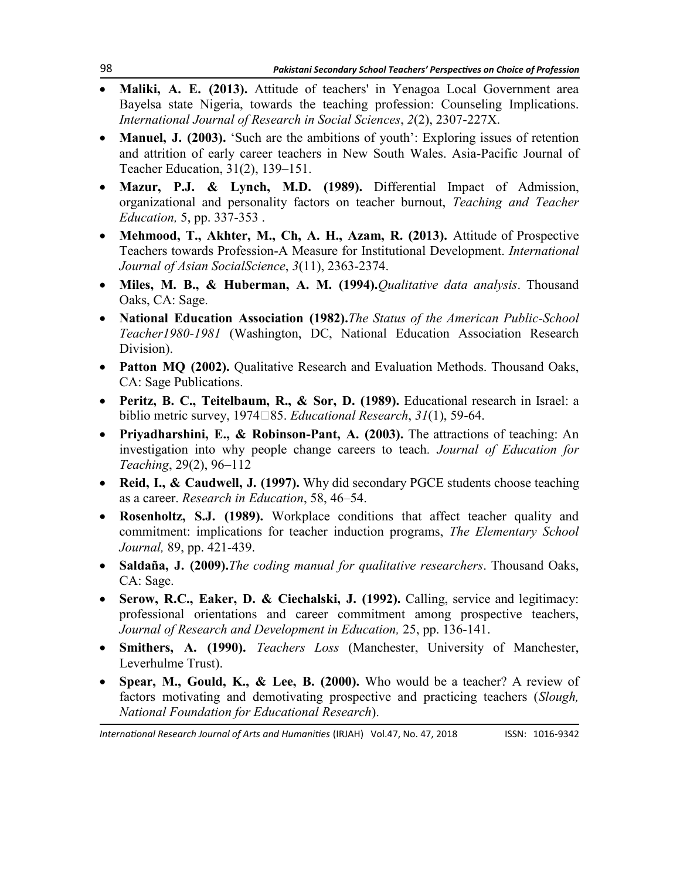- **Maliki, A. E. (2013).** Attitude of teachers' in Yenagoa Local Government area Bayelsa state Nigeria, towards the teaching profession: Counseling Implications. *International Journal of Research in Social Sciences*, *2*(2), 2307-227X.
- **Manuel, J. (2003).** 'Such are the ambitions of youth': Exploring issues of retention and attrition of early career teachers in New South Wales. Asia-Pacific Journal of Teacher Education, 31(2), 139–151.
- **Mazur, P.J. & Lynch, M.D. (1989).** Differential Impact of Admission, organizational and personality factors on teacher burnout, *Teaching and Teacher Education,* 5, pp. 337-353 .
- **Mehmood, T., Akhter, M., Ch, A. H., Azam, R. (2013).** Attitude of Prospective Teachers towards Profession-A Measure for Institutional Development. *International Journal of Asian SocialScience*, *3*(11), 2363-2374.
- **Miles, M. B., & Huberman, A. M. (1994).***Qualitative data analysis*. Thousand Oaks, CA: Sage.
- **National Education Association (1982).***The Status of the American Public-School Teacher1980-1981* (Washington, DC, National Education Association Research Division).
- **Patton MQ (2002).** Qualitative Research and Evaluation Methods. Thousand Oaks, CA: Sage Publications.
- **Peritz, B. C., Teitelbaum, R., & Sor, D. (1989).** Educational research in Israel: a biblio metric survey, 1974‐85. *Educational Research*, *31*(1), 59-64.
- **Priyadharshini, E., & Robinson-Pant, A. (2003).** The attractions of teaching: An investigation into why people change careers to teach*. Journal of Education for Teaching*, 29(2), 96–112
- **Reid, I., & Caudwell, J. (1997).** Why did secondary PGCE students choose teaching as a career. *Research in Education*, 58, 46–54.
- **Rosenholtz, S.J. (1989).** Workplace conditions that affect teacher quality and commitment: implications for teacher induction programs, *The Elementary School Journal,* 89, pp. 421-439.
- **Saldaña, J. (2009).***The coding manual for qualitative researchers*. Thousand Oaks, CA: Sage.
- **Serow, R.C., Eaker, D. & Ciechalski, J. (1992).** Calling, service and legitimacy: professional orientations and career commitment among prospective teachers, *Journal of Research and Development in Education,* 25, pp. 136-141.
- **Smithers, A. (1990).** *Teachers Loss* (Manchester, University of Manchester, Leverhulme Trust).
- **Spear, M., Gould, K., & Lee, B. (2000).** Who would be a teacher? A review of factors motivating and demotivating prospective and practicing teachers (*Slough, National Foundation for Educational Research*).